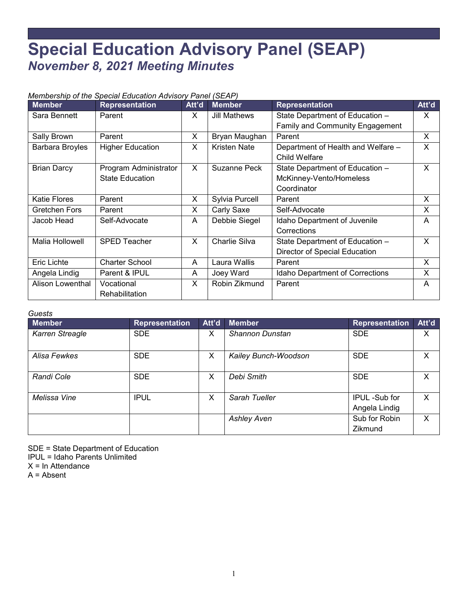## **Special Education Advisory Panel (SEAP)** *November 8, 2021 Meeting Minutes*

## *Membership of the Special Education Advisory Panel (SEAP)*

| <b>Member</b>       | <b>Representation</b>   | Att'd | <b>Member</b>       | <b>Representation</b>              | Att'd    |
|---------------------|-------------------------|-------|---------------------|------------------------------------|----------|
| Sara Bennett        | Parent                  | X.    | Jill Mathews        | State Department of Education -    | $\times$ |
|                     |                         |       |                     | Family and Community Engagement    |          |
| Sally Brown         | Parent                  | X     | Bryan Maughan       | Parent                             | X        |
| Barbara Broyles     | <b>Higher Education</b> | X     | <b>Kristen Nate</b> | Department of Health and Welfare - | X        |
|                     |                         |       |                     | Child Welfare                      |          |
| <b>Brian Darcy</b>  | Program Administrator   | X     | Suzanne Peck        | State Department of Education -    | X        |
|                     | <b>State Education</b>  |       |                     | McKinney-Vento/Homeless            |          |
|                     |                         |       |                     | Coordinator                        |          |
| <b>Katie Flores</b> | Parent                  | X     | Sylvia Purcell      | Parent                             | X        |
| Gretchen Fors       | Parent                  | X     | Carly Saxe          | Self-Advocate                      | X        |
| Jacob Head          | Self-Advocate           | A     | Debbie Siegel       | Idaho Department of Juvenile       |          |
|                     |                         |       |                     | Corrections                        |          |
| Malia Hollowell     | <b>SPED Teacher</b>     | X     | Charlie Silva       | State Department of Education -    | X        |
|                     |                         |       |                     | Director of Special Education      |          |
| <b>Eric Lichte</b>  | <b>Charter School</b>   | A     | Laura Wallis        | Parent                             | X        |
| Angela Lindig       | Parent & IPUL           | A     | Joey Ward           | Idaho Department of Corrections    | X        |
| Alison Lowenthal    | Vocational              | X     | Robin Zikmund       | Parent                             | A        |
|                     | Rehabilitation          |       |                     |                                    |          |

## *Guests*

| <b>Member</b>   | <b>Representation</b> | Att'd | <b>Member</b>        | <b>Representation</b>          | Att'd |
|-----------------|-----------------------|-------|----------------------|--------------------------------|-------|
| Karren Streagle | <b>SDE</b>            | X     | Shannon Dunstan      | <b>SDE</b>                     | X     |
| Alisa Fewkes    | <b>SDE</b>            | X     | Kailey Bunch-Woodson | <b>SDE</b>                     | X     |
| Randi Cole      | <b>SDE</b>            | X     | Debi Smith           | <b>SDE</b>                     | X     |
| Melissa Vine    | <b>IPUL</b>           | X     | Sarah Tueller        | IPUL -Sub for<br>Angela Lindig | X     |
|                 |                       |       | <b>Ashley Aven</b>   | Sub for Robin<br>Zikmund       | X     |

SDE = State Department of Education IPUL = Idaho Parents Unlimited  $X = In$  Attendance

A = Absent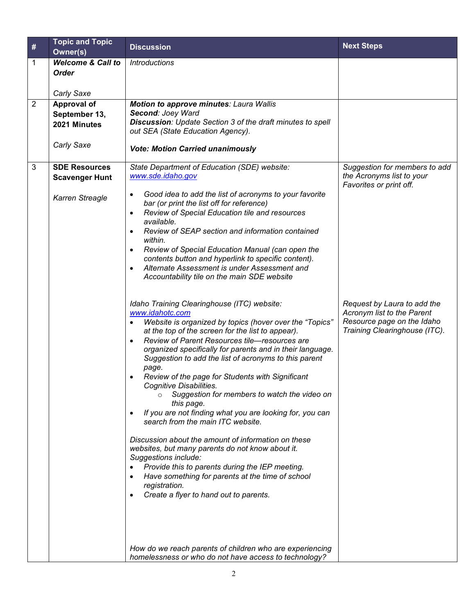| $\#$         | <b>Topic and Topic</b>       | <b>Discussion</b>                                                                                                 | <b>Next Steps</b>                                         |
|--------------|------------------------------|-------------------------------------------------------------------------------------------------------------------|-----------------------------------------------------------|
|              | Owner(s)                     |                                                                                                                   |                                                           |
| 1            | <b>Welcome &amp; Call to</b> | <i>Introductions</i>                                                                                              |                                                           |
|              | <b>Order</b>                 |                                                                                                                   |                                                           |
|              |                              |                                                                                                                   |                                                           |
|              | Carly Saxe                   |                                                                                                                   |                                                           |
| 2            | Approval of                  | <b>Motion to approve minutes: Laura Wallis</b>                                                                    |                                                           |
|              | September 13,                | Second: Joey Ward<br>Discussion: Update Section 3 of the draft minutes to spell                                   |                                                           |
|              | 2021 Minutes                 | out SEA (State Education Agency).                                                                                 |                                                           |
|              |                              |                                                                                                                   |                                                           |
|              | Carly Saxe                   | <b>Vote: Motion Carried unanimously</b>                                                                           |                                                           |
|              |                              |                                                                                                                   |                                                           |
| $\mathbf{3}$ | <b>SDE Resources</b>         | State Department of Education (SDE) website:                                                                      | Suggestion for members to add                             |
|              | <b>Scavenger Hunt</b>        | www.sde.idaho.gov                                                                                                 | the Acronyms list to your<br>Favorites or print off.      |
|              |                              | Good idea to add the list of acronyms to your favorite                                                            |                                                           |
|              | Karren Streagle              | bar (or print the list off for reference)                                                                         |                                                           |
|              |                              | Review of Special Education tile and resources<br>$\bullet$                                                       |                                                           |
|              |                              | available.                                                                                                        |                                                           |
|              |                              | Review of SEAP section and information contained                                                                  |                                                           |
|              |                              | within.                                                                                                           |                                                           |
|              |                              | Review of Special Education Manual (can open the<br>contents button and hyperlink to specific content).           |                                                           |
|              |                              | Alternate Assessment is under Assessment and                                                                      |                                                           |
|              |                              | Accountability tile on the main SDE website                                                                       |                                                           |
|              |                              |                                                                                                                   |                                                           |
|              |                              |                                                                                                                   |                                                           |
|              |                              | Idaho Training Clearinghouse (ITC) website:<br>www.idahotc.com                                                    | Request by Laura to add the<br>Acronym list to the Parent |
|              |                              | Website is organized by topics (hover over the "Topics"<br>$\bullet$                                              | Resource page on the Idaho                                |
|              |                              | at the top of the screen for the list to appear).                                                                 | Training Clearinghouse (ITC).                             |
|              |                              | Review of Parent Resources tile-resources are<br>$\bullet$                                                        |                                                           |
|              |                              | organized specifically for parents and in their language.                                                         |                                                           |
|              |                              | Suggestion to add the list of acronyms to this parent                                                             |                                                           |
|              |                              | page.<br>Review of the page for Students with Significant                                                         |                                                           |
|              |                              | Cognitive Disabilities.                                                                                           |                                                           |
|              |                              | Suggestion for members to watch the video on<br>$\circ$                                                           |                                                           |
|              |                              | this page.                                                                                                        |                                                           |
|              |                              | If you are not finding what you are looking for, you can                                                          |                                                           |
|              |                              | search from the main ITC website.                                                                                 |                                                           |
|              |                              | Discussion about the amount of information on these                                                               |                                                           |
|              |                              | websites, but many parents do not know about it.                                                                  |                                                           |
|              |                              | Suggestions include:                                                                                              |                                                           |
|              |                              | Provide this to parents during the IEP meeting.                                                                   |                                                           |
|              |                              | Have something for parents at the time of school                                                                  |                                                           |
|              |                              | registration.                                                                                                     |                                                           |
|              |                              | Create a flyer to hand out to parents.                                                                            |                                                           |
|              |                              |                                                                                                                   |                                                           |
|              |                              |                                                                                                                   |                                                           |
|              |                              |                                                                                                                   |                                                           |
|              |                              |                                                                                                                   |                                                           |
|              |                              | How do we reach parents of children who are experiencing<br>homelessness or who do not have access to technology? |                                                           |
|              |                              |                                                                                                                   |                                                           |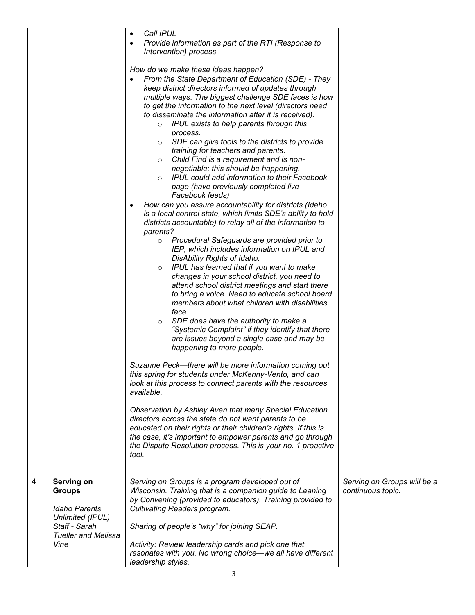|   |                                                                         | Call IPUL<br>$\bullet$<br>Provide information as part of the RTI (Response to<br>$\bullet$<br>Intervention) process                                                                                                                                                                                                                                                                                                                                                                                                                                                                                                                                                                                                                                                                                                                                                                                                                                                                                                                                                                                                                                                                                                                                                                                                                                                                                                                                                                                                                                                                                                                                                                                                                                                 |                                                  |
|---|-------------------------------------------------------------------------|---------------------------------------------------------------------------------------------------------------------------------------------------------------------------------------------------------------------------------------------------------------------------------------------------------------------------------------------------------------------------------------------------------------------------------------------------------------------------------------------------------------------------------------------------------------------------------------------------------------------------------------------------------------------------------------------------------------------------------------------------------------------------------------------------------------------------------------------------------------------------------------------------------------------------------------------------------------------------------------------------------------------------------------------------------------------------------------------------------------------------------------------------------------------------------------------------------------------------------------------------------------------------------------------------------------------------------------------------------------------------------------------------------------------------------------------------------------------------------------------------------------------------------------------------------------------------------------------------------------------------------------------------------------------------------------------------------------------------------------------------------------------|--------------------------------------------------|
|   |                                                                         | How do we make these ideas happen?<br>From the State Department of Education (SDE) - They<br>keep district directors informed of updates through<br>multiple ways. The biggest challenge SDE faces is how<br>to get the information to the next level (directors need<br>to disseminate the information after it is received).<br>$\circ$ IPUL exists to help parents through this<br>process.<br>$\circ$ SDE can give tools to the districts to provide<br>training for teachers and parents.<br>$\circ$ Child Find is a requirement and is non-<br>negotiable; this should be happening.<br>IPUL could add information to their Facebook<br>page (have previously completed live<br>Facebook feeds)<br>How can you assure accountability for districts (Idaho<br>is a local control state, which limits SDE's ability to hold<br>districts accountable) to relay all of the information to<br>parents?<br>Procedural Safeguards are provided prior to<br>$\circ$<br>IEP, which includes information on IPUL and<br>DisAbility Rights of Idaho.<br>IPUL has learned that if you want to make<br>$\circ$<br>changes in your school district, you need to<br>attend school district meetings and start there<br>to bring a voice. Need to educate school board<br>members about what children with disabilities<br>face.<br>SDE does have the authority to make a<br>$\circ$<br>"Systemic Complaint" if they identify that there<br>are issues beyond a single case and may be<br>happening to more people.<br>Suzanne Peck-there will be more information coming out<br>this spring for students under McKenny-Vento, and can<br>look at this process to connect parents with the resources<br>available.<br>Observation by Ashley Aven that many Special Education |                                                  |
|   |                                                                         | directors across the state do not want parents to be<br>educated on their rights or their children's rights. If this is<br>the case, it's important to empower parents and go through<br>the Dispute Resolution process. This is your no. 1 proactive<br>tool.                                                                                                                                                                                                                                                                                                                                                                                                                                                                                                                                                                                                                                                                                                                                                                                                                                                                                                                                                                                                                                                                                                                                                                                                                                                                                                                                                                                                                                                                                                      |                                                  |
|   |                                                                         |                                                                                                                                                                                                                                                                                                                                                                                                                                                                                                                                                                                                                                                                                                                                                                                                                                                                                                                                                                                                                                                                                                                                                                                                                                                                                                                                                                                                                                                                                                                                                                                                                                                                                                                                                                     |                                                  |
| 4 | Serving on<br><b>Groups</b><br><b>Idaho Parents</b><br>Unlimited (IPUL) | Serving on Groups is a program developed out of<br>Wisconsin. Training that is a companion guide to Leaning<br>by Convening (provided to educators). Training provided to<br><b>Cultivating Readers program.</b>                                                                                                                                                                                                                                                                                                                                                                                                                                                                                                                                                                                                                                                                                                                                                                                                                                                                                                                                                                                                                                                                                                                                                                                                                                                                                                                                                                                                                                                                                                                                                    | Serving on Groups will be a<br>continuous topic. |
|   | Staff - Sarah<br><b>Tueller and Melissa</b>                             | Sharing of people's "why" for joining SEAP.                                                                                                                                                                                                                                                                                                                                                                                                                                                                                                                                                                                                                                                                                                                                                                                                                                                                                                                                                                                                                                                                                                                                                                                                                                                                                                                                                                                                                                                                                                                                                                                                                                                                                                                         |                                                  |
|   | Vine                                                                    | Activity: Review leadership cards and pick one that<br>resonates with you. No wrong choice—we all have different<br>leadership styles.                                                                                                                                                                                                                                                                                                                                                                                                                                                                                                                                                                                                                                                                                                                                                                                                                                                                                                                                                                                                                                                                                                                                                                                                                                                                                                                                                                                                                                                                                                                                                                                                                              |                                                  |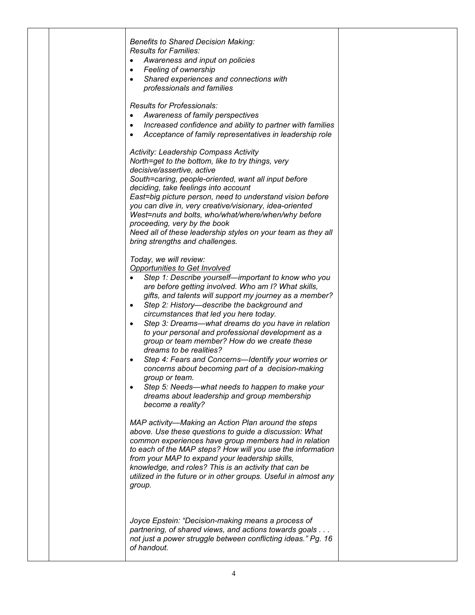|  | <b>Benefits to Shared Decision Making:</b><br><b>Results for Families:</b><br>Awareness and input on policies<br>Feeling of ownership<br>$\bullet$<br>Shared experiences and connections with<br>$\bullet$<br>professionals and families<br><b>Results for Professionals:</b><br>Awareness of family perspectives<br>$\bullet$<br>Increased confidence and ability to partner with families<br>$\bullet$<br>Acceptance of family representatives in leadership role<br><b>Activity: Leadership Compass Activity</b><br>North=get to the bottom, like to try things, very                                                                                                                                                                                                                                             |  |
|--|----------------------------------------------------------------------------------------------------------------------------------------------------------------------------------------------------------------------------------------------------------------------------------------------------------------------------------------------------------------------------------------------------------------------------------------------------------------------------------------------------------------------------------------------------------------------------------------------------------------------------------------------------------------------------------------------------------------------------------------------------------------------------------------------------------------------|--|
|  | decisive/assertive, active<br>South=caring, people-oriented, want all input before<br>deciding, take feelings into account<br>East=big picture person, need to understand vision before<br>you can dive in, very creative/visionary, idea-oriented<br>West=nuts and bolts, who/what/where/when/why before<br>proceeding, very by the book<br>Need all of these leadership styles on your team as they all<br>bring strengths and challenges.                                                                                                                                                                                                                                                                                                                                                                         |  |
|  | Today, we will review:<br><b>Opportunities to Get Involved</b><br>Step 1: Describe yourself-important to know who you<br>are before getting involved. Who am I? What skills,<br>gifts, and talents will support my journey as a member?<br>Step 2: History-describe the background and<br>$\bullet$<br>circumstances that led you here today.<br>Step 3: Dreams—what dreams do you have in relation<br>$\bullet$<br>to your personal and professional development as a<br>group or team member? How do we create these<br>dreams to be realities?<br>Step 4: Fears and Concerns-Identify your worries or<br>concerns about becoming part of a decision-making<br>group or team.<br>Step 5: Needs—what needs to happen to make your<br>$\bullet$<br>dreams about leadership and group membership<br>become a reality? |  |
|  | MAP activity-Making an Action Plan around the steps<br>above. Use these questions to guide a discussion: What<br>common experiences have group members had in relation<br>to each of the MAP steps? How will you use the information<br>from your MAP to expand your leadership skills,<br>knowledge, and roles? This is an activity that can be<br>utilized in the future or in other groups. Useful in almost any<br>group.                                                                                                                                                                                                                                                                                                                                                                                        |  |
|  | Joyce Epstein: "Decision-making means a process of<br>partnering, of shared views, and actions towards goals.<br>not just a power struggle between conflicting ideas." Pg. 16<br>of handout.                                                                                                                                                                                                                                                                                                                                                                                                                                                                                                                                                                                                                         |  |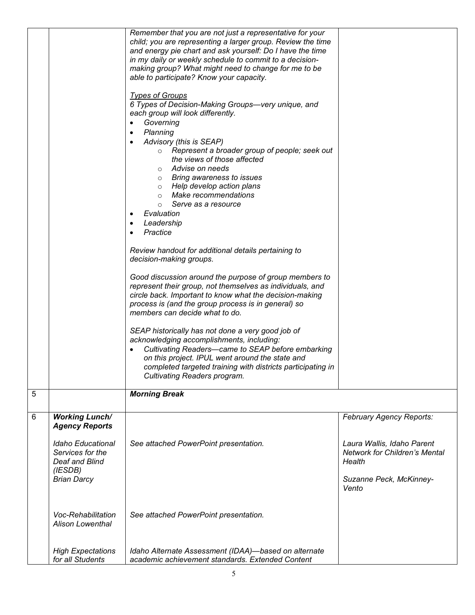|   |                                                                           | Remember that you are not just a representative for your<br>child; you are representing a larger group. Review the time                                                                                                                                                                                                                                                                              |                                                                       |
|---|---------------------------------------------------------------------------|------------------------------------------------------------------------------------------------------------------------------------------------------------------------------------------------------------------------------------------------------------------------------------------------------------------------------------------------------------------------------------------------------|-----------------------------------------------------------------------|
|   |                                                                           | and energy pie chart and ask yourself: Do I have the time                                                                                                                                                                                                                                                                                                                                            |                                                                       |
|   |                                                                           | in my daily or weekly schedule to commit to a decision-                                                                                                                                                                                                                                                                                                                                              |                                                                       |
|   |                                                                           | making group? What might need to change for me to be                                                                                                                                                                                                                                                                                                                                                 |                                                                       |
|   |                                                                           | able to participate? Know your capacity.                                                                                                                                                                                                                                                                                                                                                             |                                                                       |
|   |                                                                           | <b>Types of Groups</b><br>6 Types of Decision-Making Groups-very unique, and<br>each group will look differently.<br>Governing<br>$\bullet$<br>Planning<br>$\bullet$<br>Advisory (this is SEAP)<br>o Represent a broader group of people; seek out<br>the views of those affected<br>$\circ$ Advise on needs<br>o Bring awareness to issues<br>o Help develop action plans<br>o Make recommendations |                                                                       |
|   |                                                                           | Serve as a resource<br>$\circ$                                                                                                                                                                                                                                                                                                                                                                       |                                                                       |
|   |                                                                           | Evaluation                                                                                                                                                                                                                                                                                                                                                                                           |                                                                       |
|   |                                                                           | Leadership<br>٠                                                                                                                                                                                                                                                                                                                                                                                      |                                                                       |
|   |                                                                           | Practice<br>$\bullet$                                                                                                                                                                                                                                                                                                                                                                                |                                                                       |
|   |                                                                           | Review handout for additional details pertaining to                                                                                                                                                                                                                                                                                                                                                  |                                                                       |
|   |                                                                           | decision-making groups.                                                                                                                                                                                                                                                                                                                                                                              |                                                                       |
|   |                                                                           |                                                                                                                                                                                                                                                                                                                                                                                                      |                                                                       |
|   |                                                                           | Good discussion around the purpose of group members to<br>represent their group, not themselves as individuals, and<br>circle back. Important to know what the decision-making<br>process is (and the group process is in general) so                                                                                                                                                                |                                                                       |
|   |                                                                           | members can decide what to do.                                                                                                                                                                                                                                                                                                                                                                       |                                                                       |
|   |                                                                           | SEAP historically has not done a very good job of                                                                                                                                                                                                                                                                                                                                                    |                                                                       |
|   |                                                                           | acknowledging accomplishments, including:                                                                                                                                                                                                                                                                                                                                                            |                                                                       |
|   |                                                                           | Cultivating Readers-came to SEAP before embarking                                                                                                                                                                                                                                                                                                                                                    |                                                                       |
|   |                                                                           | on this project. IPUL went around the state and<br>completed targeted training with districts participating in                                                                                                                                                                                                                                                                                       |                                                                       |
|   |                                                                           | Cultivating Readers program.                                                                                                                                                                                                                                                                                                                                                                         |                                                                       |
|   |                                                                           |                                                                                                                                                                                                                                                                                                                                                                                                      |                                                                       |
| 5 |                                                                           | <b>Morning Break</b>                                                                                                                                                                                                                                                                                                                                                                                 |                                                                       |
|   |                                                                           |                                                                                                                                                                                                                                                                                                                                                                                                      |                                                                       |
| 6 | <b>Working Lunch/</b><br><b>Agency Reports</b>                            |                                                                                                                                                                                                                                                                                                                                                                                                      | February Agency Reports:                                              |
|   | <b>Idaho Educational</b><br>Services for the<br>Deaf and Blind<br>(IESDB) | See attached PowerPoint presentation.                                                                                                                                                                                                                                                                                                                                                                | Laura Wallis, Idaho Parent<br>Network for Children's Mental<br>Health |
|   | <b>Brian Darcy</b>                                                        |                                                                                                                                                                                                                                                                                                                                                                                                      | Suzanne Peck, McKinney-<br>Vento                                      |
|   | Voc-Rehabilitation<br><b>Alison Lowenthal</b>                             | See attached PowerPoint presentation.                                                                                                                                                                                                                                                                                                                                                                |                                                                       |
|   | <b>High Expectations</b>                                                  | Idaho Alternate Assessment (IDAA)-based on alternate                                                                                                                                                                                                                                                                                                                                                 |                                                                       |
|   | for all Students                                                          | academic achievement standards. Extended Content                                                                                                                                                                                                                                                                                                                                                     |                                                                       |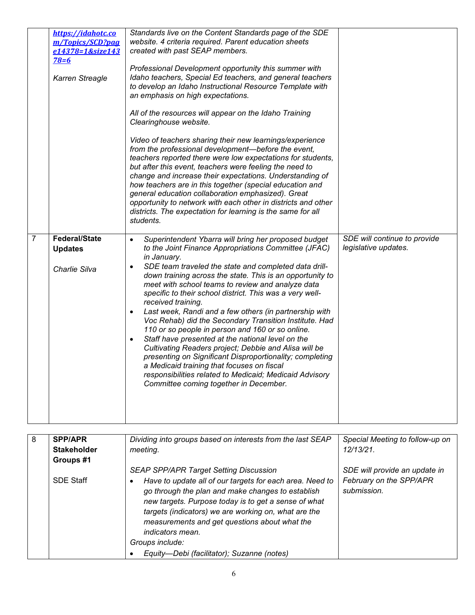|                | https://idahotc.co<br>m/Topics/SCD?pag<br>e14378=1&size143<br>$78=6$<br>Karren Streagle | Standards live on the Content Standards page of the SDE<br>website. 4 criteria required. Parent education sheets<br>created with past SEAP members.<br>Professional Development opportunity this summer with<br>Idaho teachers, Special Ed teachers, and general teachers<br>to develop an Idaho Instructional Resource Template with<br>an emphasis on high expectations.<br>All of the resources will appear on the Idaho Training<br>Clearinghouse website.<br>Video of teachers sharing their new learnings/experience<br>from the professional development-before the event,<br>teachers reported there were low expectations for students,<br>but after this event, teachers were feeling the need to<br>change and increase their expectations. Understanding of<br>how teachers are in this together (special education and<br>general education collaboration emphasized). Great<br>opportunity to network with each other in districts and other<br>districts. The expectation for learning is the same for all<br>students. |                                                      |
|----------------|-----------------------------------------------------------------------------------------|----------------------------------------------------------------------------------------------------------------------------------------------------------------------------------------------------------------------------------------------------------------------------------------------------------------------------------------------------------------------------------------------------------------------------------------------------------------------------------------------------------------------------------------------------------------------------------------------------------------------------------------------------------------------------------------------------------------------------------------------------------------------------------------------------------------------------------------------------------------------------------------------------------------------------------------------------------------------------------------------------------------------------------------|------------------------------------------------------|
| $\overline{7}$ | <b>Federal/State</b><br><b>Updates</b><br>Charlie Silva                                 | Superintendent Ybarra will bring her proposed budget<br>$\bullet$<br>to the Joint Finance Appropriations Committee (JFAC)<br>in January.<br>SDE team traveled the state and completed data drill-<br>$\bullet$<br>down training across the state. This is an opportunity to<br>meet with school teams to review and analyze data<br>specific to their school district. This was a very well-<br>received training.<br>Last week, Randi and a few others (in partnership with<br>$\bullet$<br>Voc Rehab) did the Secondary Transition Institute. Had<br>110 or so people in person and 160 or so online.<br>Staff have presented at the national level on the<br>Cultivating Readers project; Debbie and Alisa will be<br>presenting on Significant Disproportionality; completing<br>a Medicaid training that focuses on fiscal<br>responsibilities related to Medicaid; Medicaid Advisory<br>Committee coming together in December.                                                                                                   | SDE will continue to provide<br>legislative updates. |

| 8 | <b>SPP/APR</b>                  | Dividing into groups based on interests from the last SEAP                                                                                                                                                                                                                                                                                                             | Special Meeting to follow-up on                                         |
|---|---------------------------------|------------------------------------------------------------------------------------------------------------------------------------------------------------------------------------------------------------------------------------------------------------------------------------------------------------------------------------------------------------------------|-------------------------------------------------------------------------|
|   | <b>Stakeholder</b><br>Groups #1 | meeting.                                                                                                                                                                                                                                                                                                                                                               | 12/13/21                                                                |
|   | <b>SDE Staff</b>                | <b>SEAP SPP/APR Target Setting Discussion</b><br>Have to update all of our targets for each area. Need to<br>go through the plan and make changes to establish<br>new targets. Purpose today is to get a sense of what<br>targets (indicators) we are working on, what are the<br>measurements and get questions about what the<br>indicators mean.<br>Groups include: | SDE will provide an update in<br>February on the SPP/APR<br>submission. |
|   |                                 | Equity-Debi (facilitator); Suzanne (notes)                                                                                                                                                                                                                                                                                                                             |                                                                         |